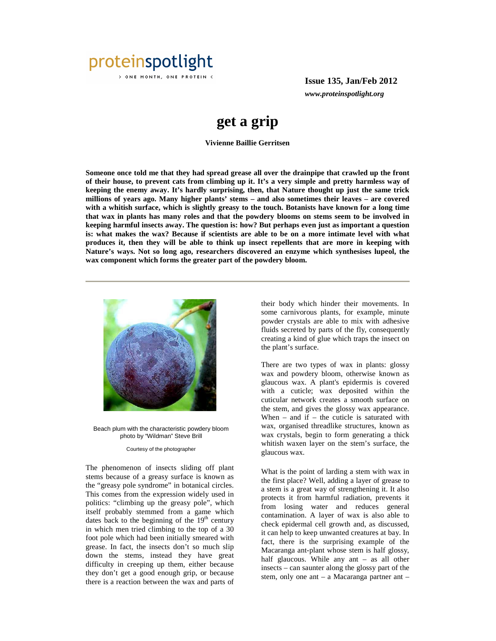

> ONE MONTH, ONE PROTEIN <

**Issue 135, Jan/Feb 2012**  *www.proteinspotlight.org* 

## **get a grip**

**Vivienne Baillie Gerritsen** 

**Someone once told me that they had spread grease all over the drainpipe that crawled up the front of their house, to prevent cats from climbing up it. It's a very simple and pretty harmless way of keeping the enemy away. It's hardly surprising, then, that Nature thought up just the same trick millions of years ago. Many higher plants' stems – and also sometimes their leaves – are covered with a whitish surface, which is slightly greasy to the touch. Botanists have known for a long time that wax in plants has many roles and that the powdery blooms on stems seem to be involved in keeping harmful insects away. The question is: how? But perhaps even just as important a question is: what makes the wax? Because if scientists are able to be on a more intimate level with what produces it, then they will be able to think up insect repellents that are more in keeping with Nature's ways. Not so long ago, researchers discovered an enzyme which synthesises lupeol, the wax component which forms the greater part of the powdery bloom.** 



Beach plum with the characteristic powdery bloom photo by "Wildman" Steve Brill

Courtesy of the photographer

The phenomenon of insects sliding off plant stems because of a greasy surface is known as the "greasy pole syndrome" in botanical circles. This comes from the expression widely used in politics: "climbing up the greasy pole", which itself probably stemmed from a game which dates back to the beginning of the  $19<sup>th</sup>$  century in which men tried climbing to the top of a 30 foot pole which had been initially smeared with grease. In fact, the insects don't so much slip down the stems, instead they have great difficulty in creeping up them, either because they don't get a good enough grip, or because there is a reaction between the wax and parts of

their body which hinder their movements. In some carnivorous plants, for example, minute powder crystals are able to mix with adhesive fluids secreted by parts of the fly, consequently creating a kind of glue which traps the insect on the plant's surface.

There are two types of wax in plants: glossy wax and powdery bloom, otherwise known as glaucous wax. A plant's epidermis is covered with a cuticle; wax deposited within the cuticular network creates a smooth surface on the stem, and gives the glossy wax appearance. When – and if – the cuticle is saturated with wax, organised threadlike structures, known as wax crystals, begin to form generating a thick whitish waxen layer on the stem's surface, the glaucous wax.

What is the point of larding a stem with wax in the first place? Well, adding a layer of grease to a stem is a great way of strengthening it. It also protects it from harmful radiation, prevents it from losing water and reduces general contamination. A layer of wax is also able to check epidermal cell growth and, as discussed, it can help to keep unwanted creatures at bay. In fact, there is the surprising example of the Macaranga ant-plant whose stem is half glossy, half glaucous. While any ant – as all other insects – can saunter along the glossy part of the stem, only one ant – a Macaranga partner ant –